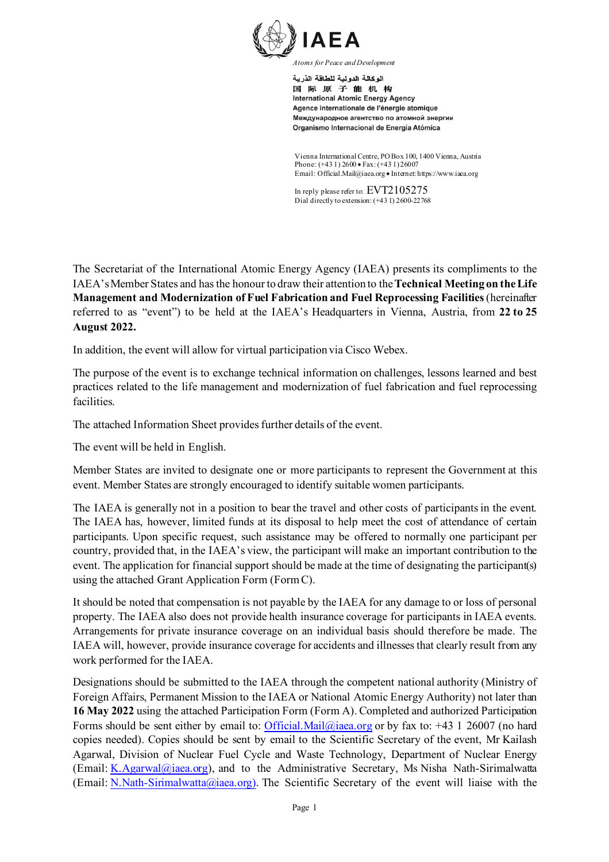

اله كالة الده لدة للطاقة الذر بة 国际原子能机构 **International Atomic Energy Agency** Agence internationale de l'énergie atomique Международное агентство по атомной энергии Organismo Internacional de Energía Atómica

Vienna International Centre, PO Box 100, 1400 Vienna, Austria Phone: (+43 1) 2600 • Fax: (+43 1) 26007 Email: Official.Mail@iaea.org • Internet: https://www.iaea.org

In reply please refer to: EVT2105275 Dial directly to extension: (+43 1) 2600-22768

The Secretariat of the International Atomic Energy Agency (IAEA) presents its compliments to the IAEA'sMember States and has the honour to draw their attention to the **Technical Meeting on the Life Management and Modernization of Fuel Fabrication and Fuel Reprocessing Facilities**(hereinafter referred to as "event") to be held at the IAEA's Headquarters in Vienna, Austria, from **22 to 25 August 2022.**

In addition, the event will allow for virtual participation via Cisco Webex.

The purpose of the event is to exchange technical information on challenges, lessons learned and best practices related to the life management and modernization of fuel fabrication and fuel reprocessing facilities.

The attached Information Sheet provides further details of the event.

The event will be held in English.

Member States are invited to designate one or more participants to represent the Government at this event. Member States are strongly encouraged to identify suitable women participants.

The IAEA is generally not in a position to bear the travel and other costs of participants in the event. The IAEA has, however, limited funds at its disposal to help meet the cost of attendance of certain participants. Upon specific request, such assistance may be offered to normally one participant per country, provided that, in the IAEA's view, the participant will make an important contribution to the event. The application for financial support should be made at the time of designating the participant(s) using the attached Grant Application Form (FormC).

It should be noted that compensation is not payable by the IAEA for any damage to or loss of personal property. The IAEA also does not provide health insurance coverage for participants in IAEA events. Arrangements for private insurance coverage on an individual basis should therefore be made. The IAEA will, however, provide insurance coverage for accidents and illnesses that clearly result from any work performed for the IAEA.

Designations should be submitted to the IAEA through the competent national authority (Ministry of Foreign Affairs, Permanent Mission to the IAEA or National Atomic Energy Authority) not later than **16 May 2022** using the attached Participation Form (Form A). Completed and authorized Participation Forms should be sent either by email to: [Official.Mail@iaea.org](mailto:official.mail@iaea.org) or by fax to: +43 1 26007 (no hard copies needed). Copies should be sent by email to the Scientific Secretary of the event, Mr Kailash Agarwal, Division of Nuclear Fuel Cycle and Waste Technology, Department of Nuclear Energy (Email: [K.Agarwal@iaea.org](mailto:K.Agarwal@iaea.org)), and to the Administrative Secretary, Ms Nisha Nath-Sirimalwatta (Email: [N.Nath-Sirimalwatta@iaea.org\)](mailto:N.Nath-Sirimalwatta@iaea.org)). The Scientific Secretary of the event will liaise with the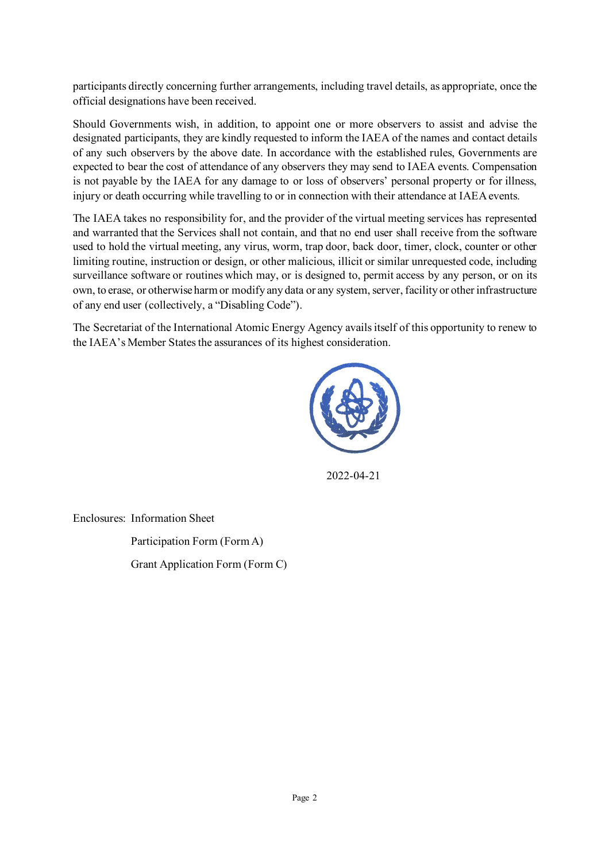participants directly concerning further arrangements, including travel details, as appropriate, once the official designations have been received.

Should Governments wish, in addition, to appoint one or more observers to assist and advise the designated participants, they are kindly requested to inform the IAEA of the names and contact details of any such observers by the above date. In accordance with the established rules, Governments are expected to bear the cost of attendance of any observers they may send to IAEA events. Compensation is not payable by the IAEA for any damage to or loss of observers' personal property or for illness, injury or death occurring while travelling to or in connection with their attendance at IAEA events.

The IAEA takes no responsibility for, and the provider of the virtual meeting services has represented and warranted that the Services shall not contain, and that no end user shall receive from the software used to hold the virtual meeting, any virus, worm, trap door, back door, timer, clock, counter or other limiting routine, instruction or design, or other malicious, illicit or similar unrequested code, including surveillance software or routines which may, or is designed to, permit access by any person, or on its own, to erase, or otherwise harm or modify any data or any system, server, facility or other infrastructure of any end user (collectively, a "Disabling Code").

The Secretariat of the International Atomic Energy Agency avails itself of this opportunity to renew to the IAEA's Member States the assurances of its highest consideration.



2022-04-21

Enclosures: Information Sheet

Participation Form (Form A) Grant Application Form (Form C)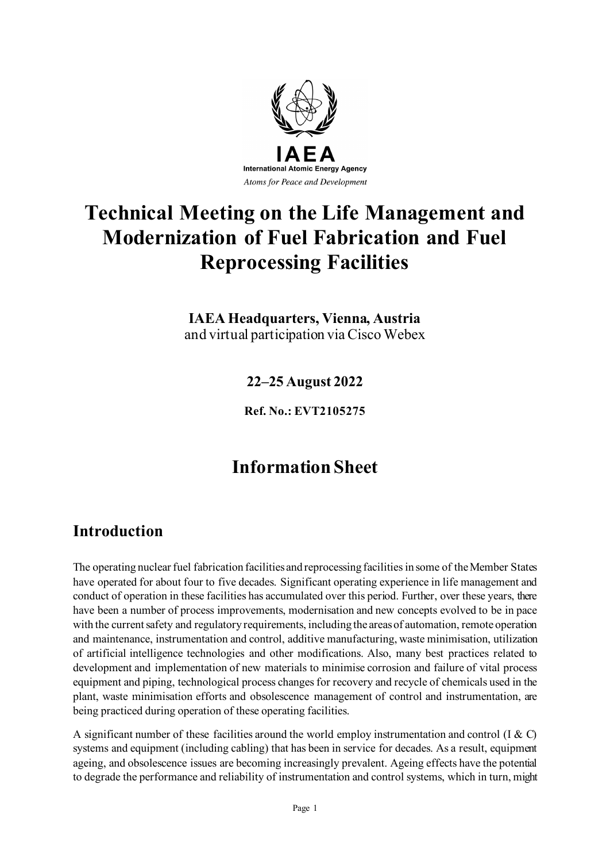

# **Technical Meeting on the Life Management and Modernization of Fuel Fabrication and Fuel Reprocessing Facilities**

**IAEA Headquarters, Vienna, Austria** and virtual participation via Cisco Webex

**22–25 August 2022**

**Ref. No.: EVT2105275**

## **Information Sheet**

### **Introduction**

The operating nuclear fuel fabrication facilities and reprocessing facilities in some of the Member States have operated for about four to five decades. Significant operating experience in life management and conduct of operation in these facilities has accumulated over this period. Further, over these years, there have been a number of process improvements, modernisation and new concepts evolved to be in pace with the current safety and regulatory requirements, including the areas of automation, remote operation and maintenance, instrumentation and control, additive manufacturing, waste minimisation, utilization of artificial intelligence technologies and other modifications. Also, many best practices related to development and implementation of new materials to minimise corrosion and failure of vital process equipment and piping, technological process changes for recovery and recycle of chemicals used in the plant, waste minimisation efforts and obsolescence management of control and instrumentation, are being practiced during operation of these operating facilities.

A significant number of these facilities around the world employ instrumentation and control (I & C) systems and equipment (including cabling) that has been in service for decades. As a result, equipment ageing, and obsolescence issues are becoming increasingly prevalent. Ageing effects have the potential to degrade the performance and reliability of instrumentation and control systems, which in turn, might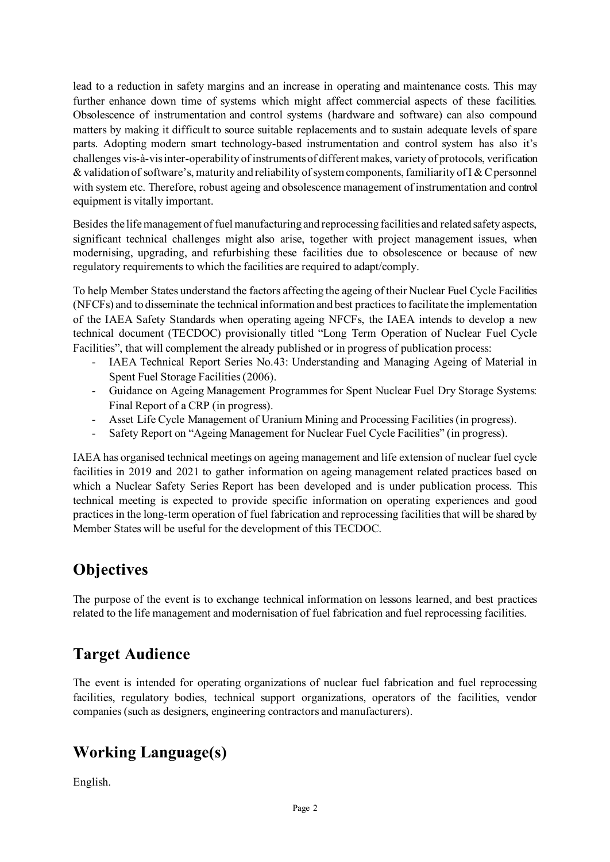lead to a reduction in safety margins and an increase in operating and maintenance costs. This may further enhance down time of systems which might affect commercial aspects of these facilities. Obsolescence of instrumentation and control systems (hardware and software) can also compound matters by making it difficult to source suitable replacements and to sustain adequate levels of spare parts. Adopting modern smart technology-based instrumentation and control system has also it's challenges vis-à-vis inter-operability of instruments of different makes, variety of protocols, verification & validation of software's, maturity and reliability of system components, familiarity of I & C personnel with system etc. Therefore, robust ageing and obsolescence management of instrumentation and control equipment is vitally important.

Besides the life management of fuel manufacturing and reprocessing facilities and related safety aspects, significant technical challenges might also arise, together with project management issues, when modernising, upgrading, and refurbishing these facilities due to obsolescence or because of new regulatory requirements to which the facilities are required to adapt/comply.

To help Member States understand the factors affecting the ageing of their Nuclear Fuel Cycle Facilities (NFCFs) and to disseminate the technical information and best practices to facilitate the implementation of the IAEA Safety Standards when operating ageing NFCFs, the IAEA intends to develop a new technical document (TECDOC) provisionally titled "Long Term Operation of Nuclear Fuel Cycle Facilities", that will complement the already published or in progress of publication process:

- IAEA Technical Report Series No.43: Understanding and Managing Ageing of Material in Spent Fuel Storage Facilities (2006).
- Guidance on Ageing Management Programmes for Spent Nuclear Fuel Dry Storage Systems: Final Report of a CRP (in progress).
- Asset Life Cycle Management of Uranium Mining and Processing Facilities (in progress).
- Safety Report on "Ageing Management for Nuclear Fuel Cycle Facilities" (in progress).

IAEA has organised technical meetings on ageing management and life extension of nuclear fuel cycle facilities in 2019 and 2021 to gather information on ageing management related practices based on which a Nuclear Safety Series Report has been developed and is under publication process. This technical meeting is expected to provide specific information on operating experiences and good practices in the long-term operation of fuel fabrication and reprocessing facilities that will be shared by Member States will be useful for the development of this TECDOC.

### **Objectives**

The purpose of the event is to exchange technical information on lessons learned, and best practices related to the life management and modernisation of fuel fabrication and fuel reprocessing facilities.

### **Target Audience**

The event is intended for operating organizations of nuclear fuel fabrication and fuel reprocessing facilities, regulatory bodies, technical support organizations, operators of the facilities, vendor companies (such as designers, engineering contractors and manufacturers).

## **Working Language(s)**

English.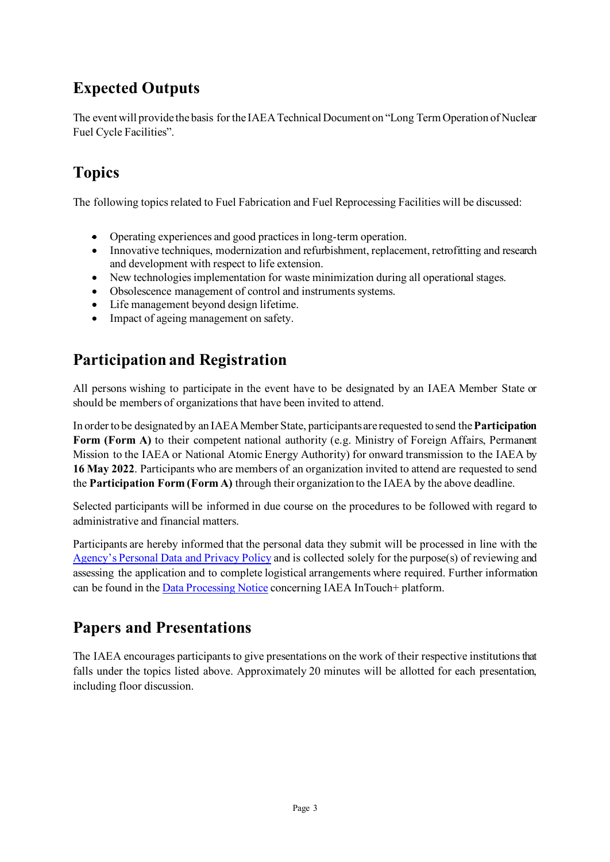## **Expected Outputs**

The event will provide the basis for the IAEA Technical Document on "Long Term Operation of Nuclear Fuel Cycle Facilities".

## **Topics**

The following topics related to Fuel Fabrication and Fuel Reprocessing Facilities will be discussed:

- Operating experiences and good practices in long-term operation.
- Innovative techniques, modernization and refurbishment, replacement, retrofitting and research and development with respect to life extension.
- New technologies implementation for waste minimization during all operational stages.
- Obsolescence management of control and instruments systems.
- Life management beyond design lifetime.
- Impact of ageing management on safety.

## **Participation and Registration**

All persons wishing to participate in the event have to be designated by an IAEA Member State or should be members of organizations that have been invited to attend.

In order to be designated by an IAEA Member State, participants are requested to send the **Participation Form (Form A)** to their competent national authority (e.g. Ministry of Foreign Affairs, Permanent Mission to the IAEA or National Atomic Energy Authority) for onward transmission to the IAEA by **16 May 2022**. Participants who are members of an organization invited to attend are requested to send the **Participation Form (Form A)** through their organization to the IAEA by the above deadline.

Selected participants will be informed in due course on the procedures to be followed with regard to administrative and financial matters.

Participants are hereby informed that the personal data they submit will be processed in line with the [Agency's Personal Data and Privacy Policy](https://www.iaea.org/about/privacy-policy#:%7E:text=The%20IAEA%20is%20committed%20to,accountable%20and%20non%2Ddiscriminatory%20manner.&text=The%20Privacy%20Policy%20provides%20the,carrying%20out%20its%20mandated%20activities.) and is collected solely for the purpose(s) of reviewing and assessing the application and to complete logistical arrangements where required. Further information can be found in th[e Data Processing Notice](https://nucleus.iaea.org/sites/intouchplushelp/Documents/itp_dpn.pdf) concerning IAEA InTouch+ platform.

## **Papers and Presentations**

The IAEA encourages participants to give presentations on the work of their respective institutionsthat falls under the topics listed above. Approximately 20 minutes will be allotted for each presentation, including floor discussion.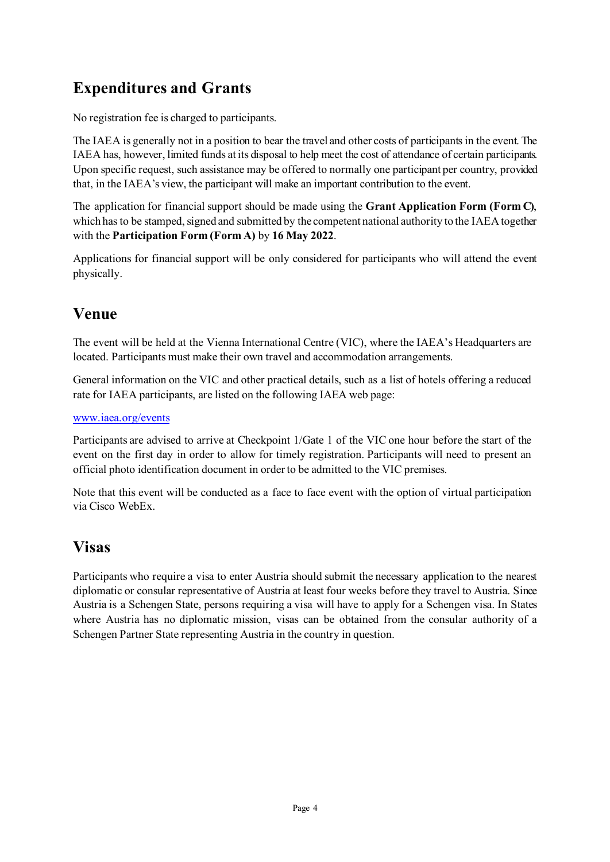## **Expenditures and Grants**

No registration fee is charged to participants.

The IAEA is generally not in a position to bear the travel and other costs of participants in the event. The IAEA has, however, limited funds at its disposal to help meet the cost of attendance of certain participants. Upon specific request, such assistance may be offered to normally one participant per country, provided that, in the IAEA's view, the participant will make an important contribution to the event.

The application for financial support should be made using the **Grant Application Form (Form C)**, which has to be stamped, signed and submitted by the competent national authority to the IAEA together with the **Participation Form (Form A)** by **16 May 2022**.

Applications for financial support will be only considered for participants who will attend the event physically.

## **Venue**

The event will be held at the Vienna International Centre (VIC), where the IAEA's Headquarters are located. Participants must make their own travel and accommodation arrangements.

General information on the VIC and other practical details, such as a list of hotels offering a reduced rate for IAEA participants, are listed on the following IAEA web page:

#### [www.iaea.org/events](http://www.iaea.org/events)

Participants are advised to arrive at Checkpoint 1/Gate 1 of the VIC one hour before the start of the event on the first day in order to allow for timely registration. Participants will need to present an official photo identification document in order to be admitted to the VIC premises.

Note that this event will be conducted as a face to face event with the option of virtual participation via Cisco WebEx.

### **Visas**

Participants who require a visa to enter Austria should submit the necessary application to the nearest diplomatic or consular representative of Austria at least four weeks before they travel to Austria. Since Austria is a Schengen State, persons requiring a visa will have to apply for a Schengen visa. In States where Austria has no diplomatic mission, visas can be obtained from the consular authority of a Schengen Partner State representing Austria in the country in question.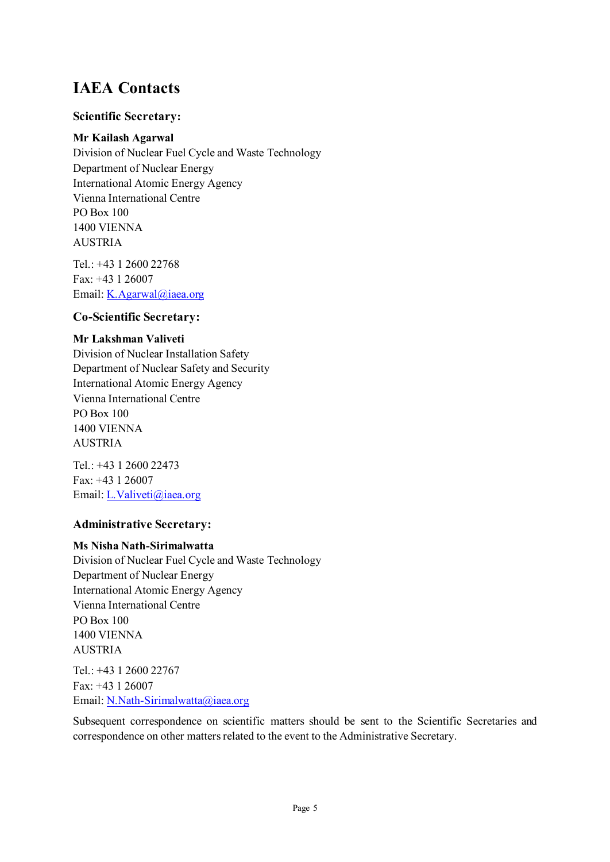### **IAEA Contacts**

#### **Scientific Secretary:**

#### **Mr Kailash Agarwal**

Division of Nuclear Fuel Cycle and Waste Technology Department of Nuclear Energy International Atomic Energy Agency Vienna International Centre PO Box 100 1400 VIENNA AUSTRIA

Tel.: +43 1 2600 22768 Fax: +43 1 26007 Email[: K.Agarwal@iaea.org](mailto:K.Agarwal@iaea.org)

#### **Co-Scientific Secretary:**

#### **Mr Lakshman Valiveti**

Division of Nuclear Installation Safety Department of Nuclear Safety and Security International Atomic Energy Agency Vienna International Centre PO Box 100 1400 VIENNA AUSTRIA

Tel.: +43 1 2600 22473 Fax: +43 1 26007 Email[: L.Valiveti@iaea.org](mailto:L.Valiveti@iaea.org)

#### **Administrative Secretary:**

#### **Ms Nisha Nath-Sirimalwatta**

Division of Nuclear Fuel Cycle and Waste Technology Department of Nuclear Energy International Atomic Energy Agency Vienna International Centre PO Box 100 1400 VIENNA AUSTRIA Tel.: +43 1 2600 22767

Fax: +43 1 26007 Email[: N.Nath-Sirimalwatta@iaea.org](mailto:N.Nath-Sirimalwatta@iaea.org)

Subsequent correspondence on scientific matters should be sent to the Scientific Secretaries and correspondence on other matters related to the event to the Administrative Secretary.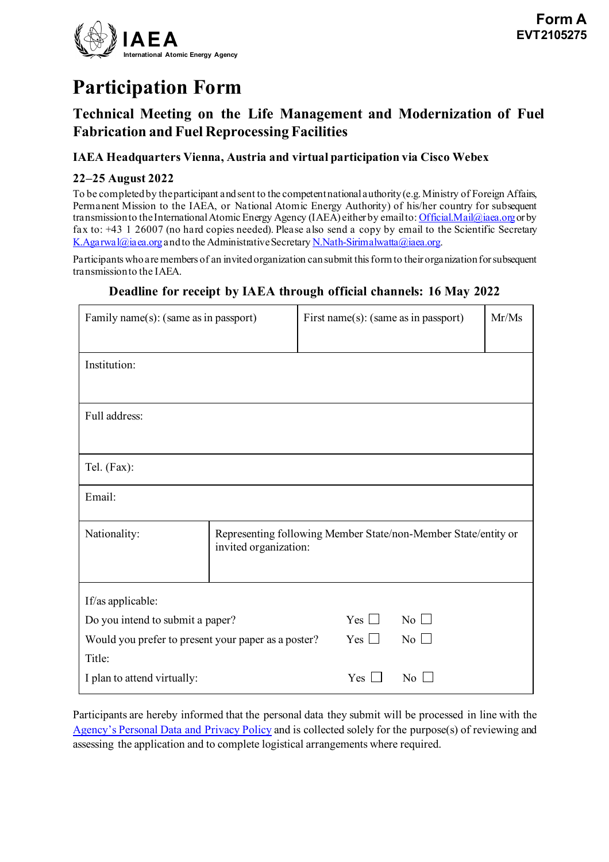

# **Participation Form**

### **Technical Meeting on the Life Management and Modernization of Fuel Fabrication and Fuel Reprocessing Facilities**

#### **IAEA Headquarters Vienna, Austria and virtual participation via Cisco Webex**

#### **22–25 August 2022**

To be completed by the participant and sent to the competent national authority (e.g. Ministry of Foreign Affairs, Permanent Mission to the IAEA, or National Atomic Energy Authority) of his/her country for subsequent transmission to the International Atomic Energy Agency (IAEA) either by email to[: Official.Mail@iaea.org](mailto:Official.Mail@iaea.org) or by fax to: +43 1 26007 (no hard copies needed). Please also send a copy by email to the Scientific Secretary [K.Agarwal@iaea.org](mailto:K.Agarwal@iaea.org) and to the Administrative Secretar[y N.Nath-Sirimalwatta@iaea.org](mailto:N.Nath-Sirimalwatta@iaea.org).

Participants who are members of an invited organization can submit this form to their organizationfor subsequent transmission to the IAEA.

#### **Deadline for receipt by IAEA through official channels: 16 May 2022**

| Family name(s): (same as in passport)                         |                                                                                         | First name(s): (same as in passport) |                    | Mr/Ms |  |
|---------------------------------------------------------------|-----------------------------------------------------------------------------------------|--------------------------------------|--------------------|-------|--|
| Institution:                                                  |                                                                                         |                                      |                    |       |  |
| Full address:                                                 |                                                                                         |                                      |                    |       |  |
| Tel. (Fax):                                                   |                                                                                         |                                      |                    |       |  |
| Email:                                                        |                                                                                         |                                      |                    |       |  |
| Nationality:                                                  | Representing following Member State/non-Member State/entity or<br>invited organization: |                                      |                    |       |  |
| If/as applicable:                                             |                                                                                         |                                      |                    |       |  |
| Do you intend to submit a paper?                              |                                                                                         | Yes $\Box$                           | No $\Box$          |       |  |
| Would you prefer to present your paper as a poster?<br>Title: |                                                                                         | $Yes \Box$                           | $\overline{N_0}$   |       |  |
| I plan to attend virtually:                                   |                                                                                         | Yes $\Box$                           | $\overline{N}$ o L |       |  |

Participants are hereby informed that the personal data they submit will be processed in line with the [Agency's Personal Data and Privacy Policy](https://www.iaea.org/about/privacy-policy#:%7E:text=The%20IAEA%20is%20committed%20to,accountable%20and%20non%2Ddiscriminatory%20manner.&text=The%20Privacy%20Policy%20provides%20the,carrying%20out%20its%20mandated%20activities.) and is collected solely for the purpose(s) of reviewing and assessing the application and to complete logistical arrangements where required.